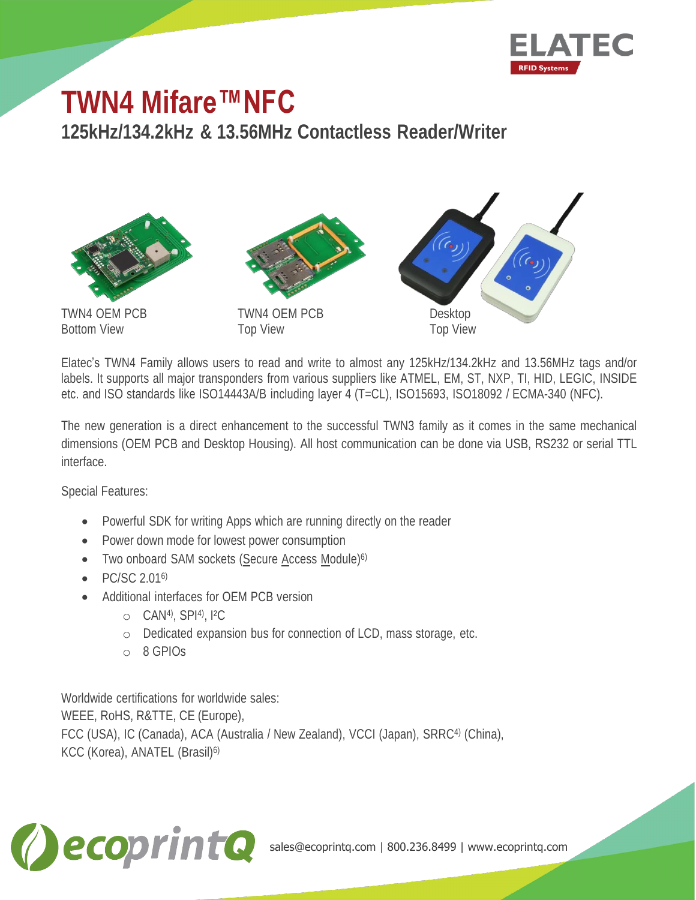

## **TWN4 Mifare™NFC**

**125kHz/134.2kHz & 13.56MHz Contactless Reader/Writer**



Bottom View Top View





Elatec's TWN4 Family allows users to read and write to almost any 125kHz/134.2kHz and 13.56MHz tags and/or labels. It supports all major transponders from various suppliers like ATMEL, EM, ST, NXP, TI, HID, LEGIC, INSIDE etc. and ISO standards like ISO14443A/B including layer 4 (T=CL), ISO15693, ISO18092 / ECMA-340 (NFC).

The new generation is a direct enhancement to the successful TWN3 family as it comes in the same mechanical dimensions (OEM PCB and Desktop Housing). All host communication can be done via USB, RS232 or serial TTL interface.

Special Features:

- Powerful SDK for writing Apps which are running directly on the reader
- Power down mode for lowest power consumption
- Two onboard SAM sockets (Secure Access Module)<sup>6)</sup>
- PC/SC 2.016)
- Additional interfaces for OEM PCB version
	- o CAN4), SPI4), I²C
	- o Dedicated expansion bus for connection of LCD, mass storage, etc.
	- o 8 GPIOs

Worldwide certifications for worldwide sales: WEEE, RoHS, R&TTE, CE (Europe), FCC (USA), IC (Canada), ACA (Australia / New Zealand), VCCI (Japan), SRRC<sup>4)</sup> (China),





sales@ecoprintq.com | 800.236.8499 | www.ecoprintq.com